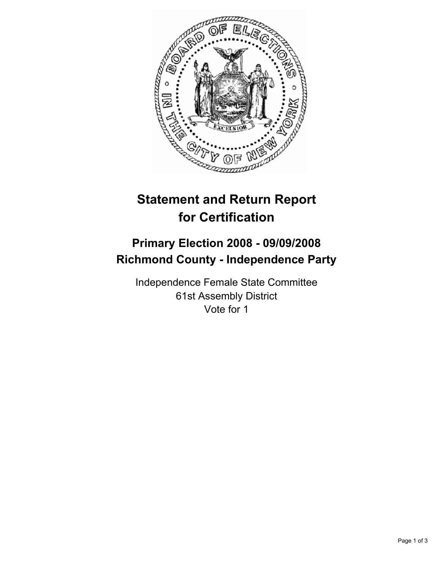

## **Statement and Return Report for Certification**

## **Primary Election 2008 - 09/09/2008 Richmond County - Independence Party**

Independence Female State Committee 61st Assembly District Vote for 1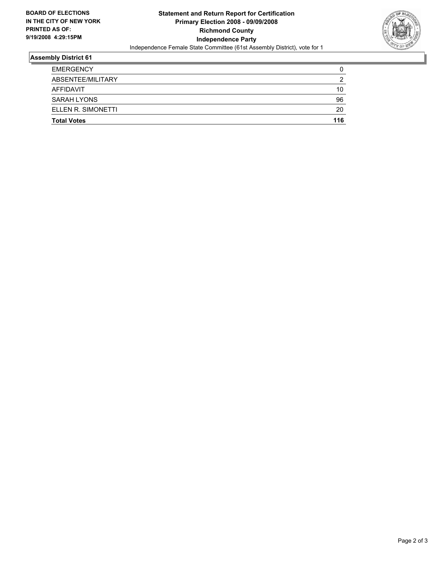

## **Assembly District 61**

| <b>EMERGENCY</b>   |     |
|--------------------|-----|
| ABSENTEE/MILITARY  |     |
| AFFIDAVIT          | 10  |
| <b>SARAH LYONS</b> | 96  |
| ELLEN R. SIMONETTI | 20  |
| <b>Total Votes</b> | 116 |